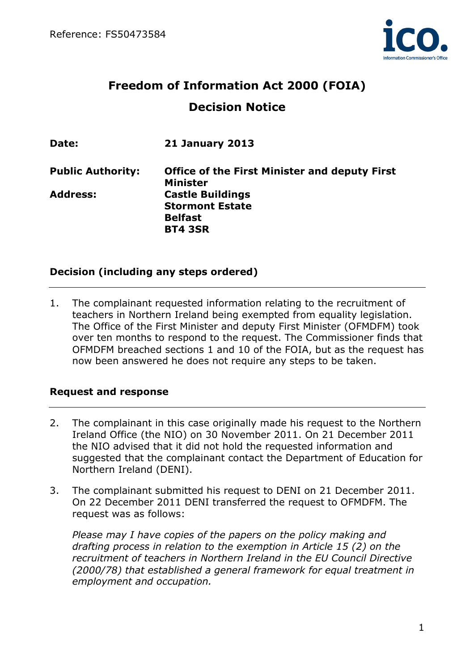

# Freedom of Information Act 2000 (FOIA) Decision Notice

| Date:                    | <b>21 January 2013</b>                                                                |
|--------------------------|---------------------------------------------------------------------------------------|
| <b>Public Authority:</b> | <b>Office of the First Minister and deputy First</b><br><b>Minister</b>               |
| <b>Address:</b>          | <b>Castle Buildings</b><br><b>Stormont Estate</b><br><b>Belfast</b><br><b>BT4 3SR</b> |

### Decision (including any steps ordered)

1. The complainant requested information relating to the recruitment of teachers in Northern Ireland being exempted from equality legislation. The Office of the First Minister and deputy First Minister (OFMDFM) took over ten months to respond to the request. The Commissioner finds that OFMDFM breached sections 1 and 10 of the FOIA, but as the request has now been answered he does not require any steps to be taken.

#### Request and response

- 2. The complainant in this case originally made his request to the Northern Ireland Office (the NIO) on 30 November 2011. On 21 December 2011 the NIO advised that it did not hold the requested information and suggested that the complainant contact the Department of Education for Northern Ireland (DENI).
- 3. The complainant submitted his request to DENI on 21 December 2011. On 22 December 2011 DENI transferred the request to OFMDFM. The request was as follows:

Please may I have copies of the papers on the policy making and drafting process in relation to the exemption in Article 15 (2) on the recruitment of teachers in Northern Ireland in the EU Council Directive (2000/78) that established a general framework for equal treatment in employment and occupation.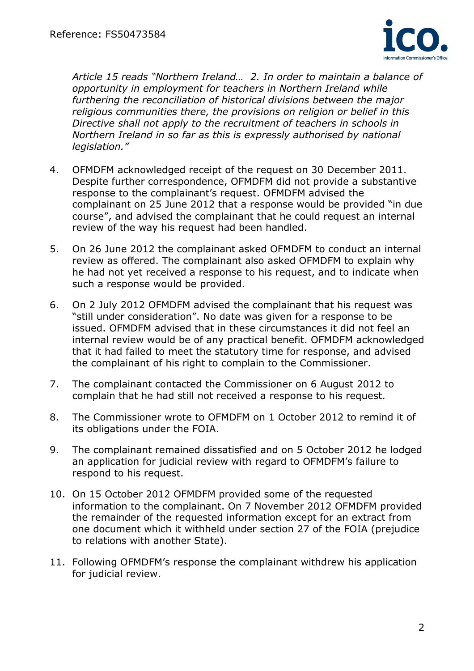

Article 15 reads "Northern Ireland… 2. In order to maintain a balance of opportunity in employment for teachers in Northern Ireland while furthering the reconciliation of historical divisions between the major religious communities there, the provisions on religion or belief in this Directive shall not apply to the recruitment of teachers in schools in Northern Ireland in so far as this is expressly authorised by national legislation."

- 4. OFMDFM acknowledged receipt of the request on 30 December 2011. Despite further correspondence, OFMDFM did not provide a substantive response to the complainant's request. OFMDFM advised the complainant on 25 June 2012 that a response would be provided "in due course", and advised the complainant that he could request an internal review of the way his request had been handled.
- 5. On 26 June 2012 the complainant asked OFMDFM to conduct an internal review as offered. The complainant also asked OFMDFM to explain why he had not yet received a response to his request, and to indicate when such a response would be provided.
- 6. On 2 July 2012 OFMDFM advised the complainant that his request was "still under consideration". No date was given for a response to be issued. OFMDFM advised that in these circumstances it did not feel an internal review would be of any practical benefit. OFMDFM acknowledged that it had failed to meet the statutory time for response, and advised the complainant of his right to complain to the Commissioner.
- 7. The complainant contacted the Commissioner on 6 August 2012 to complain that he had still not received a response to his request.
- 8. The Commissioner wrote to OFMDFM on 1 October 2012 to remind it of its obligations under the FOIA.
- 9. The complainant remained dissatisfied and on 5 October 2012 he lodged an application for judicial review with regard to OFMDFM's failure to respond to his request.
- 10. On 15 October 2012 OFMDFM provided some of the requested information to the complainant. On 7 November 2012 OFMDFM provided the remainder of the requested information except for an extract from one document which it withheld under section 27 of the FOIA (prejudice to relations with another State).
- 11. Following OFMDFM's response the complainant withdrew his application for judicial review.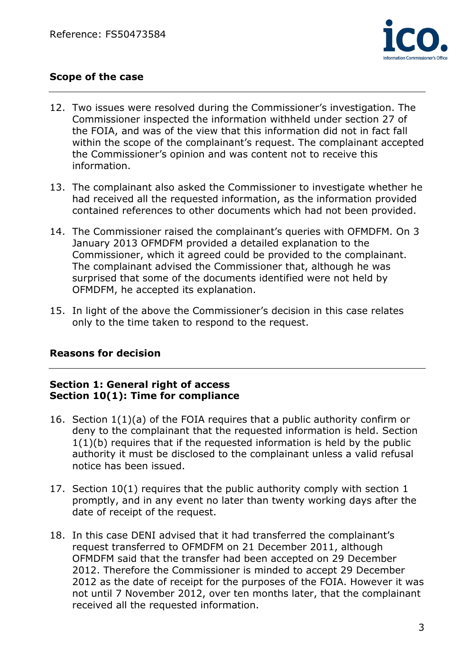

# Scope of the case

- 12. Two issues were resolved during the Commissioner's investigation. The Commissioner inspected the information withheld under section 27 of the FOIA, and was of the view that this information did not in fact fall within the scope of the complainant's request. The complainant accepted the Commissioner's opinion and was content not to receive this information.
- 13. The complainant also asked the Commissioner to investigate whether he had received all the requested information, as the information provided contained references to other documents which had not been provided.
- 14. The Commissioner raised the complainant's queries with OFMDFM. On 3 January 2013 OFMDFM provided a detailed explanation to the Commissioner, which it agreed could be provided to the complainant. The complainant advised the Commissioner that, although he was surprised that some of the documents identified were not held by OFMDFM, he accepted its explanation.
- 15. In light of the above the Commissioner's decision in this case relates only to the time taken to respond to the request.

#### Reasons for decision

#### Section 1: General right of access Section 10(1): Time for compliance

- 16. Section 1(1)(a) of the FOIA requires that a public authority confirm or deny to the complainant that the requested information is held. Section 1(1)(b) requires that if the requested information is held by the public authority it must be disclosed to the complainant unless a valid refusal notice has been issued.
- 17. Section 10(1) requires that the public authority comply with section 1 promptly, and in any event no later than twenty working days after the date of receipt of the request.
- 18. In this case DENI advised that it had transferred the complainant's request transferred to OFMDFM on 21 December 2011, although OFMDFM said that the transfer had been accepted on 29 December 2012. Therefore the Commissioner is minded to accept 29 December 2012 as the date of receipt for the purposes of the FOIA. However it was not until 7 November 2012, over ten months later, that the complainant received all the requested information.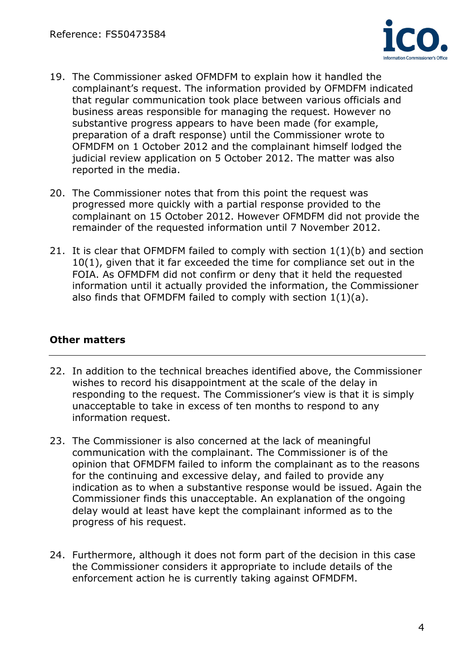

- 19. The Commissioner asked OFMDFM to explain how it handled the complainant's request. The information provided by OFMDFM indicated that regular communication took place between various officials and business areas responsible for managing the request. However no substantive progress appears to have been made (for example, preparation of a draft response) until the Commissioner wrote to OFMDFM on 1 October 2012 and the complainant himself lodged the judicial review application on 5 October 2012. The matter was also reported in the media.
- 20. The Commissioner notes that from this point the request was progressed more quickly with a partial response provided to the complainant on 15 October 2012. However OFMDFM did not provide the remainder of the requested information until 7 November 2012.
- 21. It is clear that OFMDFM failed to comply with section 1(1)(b) and section 10(1), given that it far exceeded the time for compliance set out in the FOIA. As OFMDFM did not confirm or deny that it held the requested information until it actually provided the information, the Commissioner also finds that OFMDFM failed to comply with section 1(1)(a).

## Other matters

- 22. In addition to the technical breaches identified above, the Commissioner wishes to record his disappointment at the scale of the delay in responding to the request. The Commissioner's view is that it is simply unacceptable to take in excess of ten months to respond to any information request.
- 23. The Commissioner is also concerned at the lack of meaningful communication with the complainant. The Commissioner is of the opinion that OFMDFM failed to inform the complainant as to the reasons for the continuing and excessive delay, and failed to provide any indication as to when a substantive response would be issued. Again the Commissioner finds this unacceptable. An explanation of the ongoing delay would at least have kept the complainant informed as to the progress of his request.
- 24. Furthermore, although it does not form part of the decision in this case the Commissioner considers it appropriate to include details of the enforcement action he is currently taking against OFMDFM.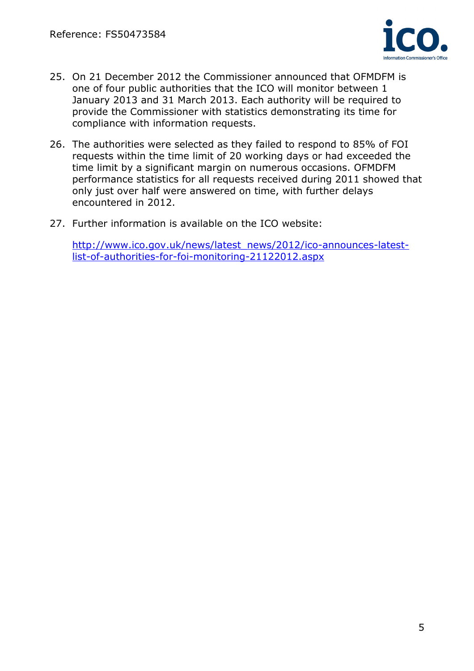

- 25. On 21 December 2012 the Commissioner announced that OFMDFM is one of four public authorities that the ICO will monitor between 1 January 2013 and 31 March 2013. Each authority will be required to provide the Commissioner with statistics demonstrating its time for compliance with information requests.
- 26. The authorities were selected as they failed to respond to 85% of FOI requests within the time limit of 20 working days or had exceeded the time limit by a significant margin on numerous occasions. OFMDFM performance statistics for all requests received during 2011 showed that only just over half were answered on time, with further delays encountered in 2012.
- 27. Further information is available on the ICO website:

http://www.ico.gov.uk/news/latest\_news/2012/ico-announces-latestlist-of-authorities-for-foi-monitoring-21122012.aspx